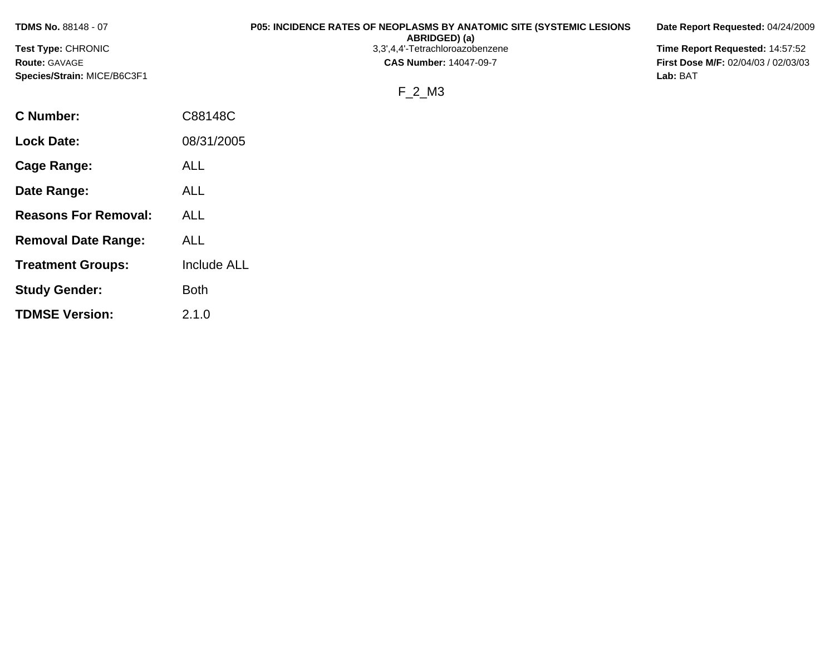| <b>TDMS No. 88148 - 07</b>  | <b>P05: INCIDENCE RATES OF NEOPLASMS BY ANATOMIC SITE (SYSTEMIC LESIONS)</b><br>ABRIDGED) (a) | Date Report Requested: 04/24/2009          |
|-----------------------------|-----------------------------------------------------------------------------------------------|--------------------------------------------|
| <b>Test Type: CHRONIC</b>   | 3,3',4,4'-Tetrachloroazobenzene                                                               | Time Report Requested: 14:57:52            |
| <b>Route: GAVAGE</b>        | <b>CAS Number: 14047-09-7</b>                                                                 | <b>First Dose M/F: 02/04/03 / 02/03/03</b> |
| Species/Strain: MICE/B6C3F1 |                                                                                               | Lab: BAT                                   |
|                             | F 2 M3                                                                                        |                                            |
| <b>C</b> Number:            | C88148C                                                                                       |                                            |

| Cage Range:                 | ALL         |
|-----------------------------|-------------|
| Date Range:                 | ALL         |
| <b>Reasons For Removal:</b> | ALL         |
| <b>Removal Date Range:</b>  | <b>ALL</b>  |
| <b>Treatment Groups:</b>    | Include ALL |
| <b>Study Gender:</b>        | <b>Both</b> |
| <b>TDMSE Version:</b>       | 2.1.0       |

**Lock Date:** 08/31/2005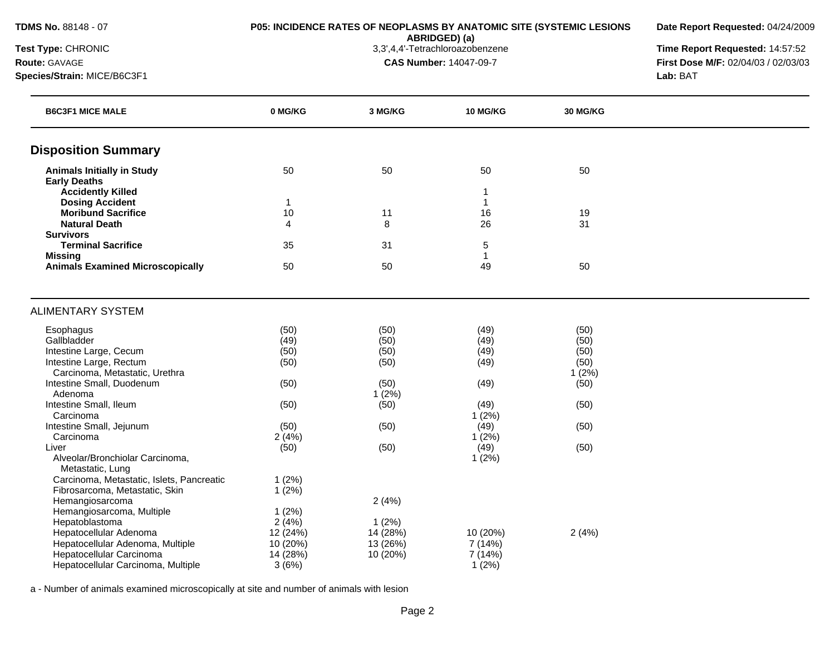**ABRIDGED) (a)**<br>3,3',4,4'-Tetrachloroazobenzene

**Date Report Requested:** 04/24/2009

**Test Type:** CHRONIC 3,3',4,4'-Tetrachloroazobenzene **Time Report Requested:** 14:57:52 **Route:** GAVAGE **CAS Number:** 14047-09-7 **First Dose M/F:** 02/04/03 / 02/03/03 **Species/Strain:** MICE/B6C3F1 **Lab:** BAT

| <b>B6C3F1 MICE MALE</b>                             | 0 MG/KG        | 3 MG/KG  | <b>10 MG/KG</b> | 30 MG/KG |  |
|-----------------------------------------------------|----------------|----------|-----------------|----------|--|
| <b>Disposition Summary</b>                          |                |          |                 |          |  |
| <b>Animals Initially in Study</b>                   | 50             | 50       | 50              | 50       |  |
| <b>Early Deaths</b>                                 |                |          |                 |          |  |
| <b>Accidently Killed</b>                            |                |          |                 |          |  |
| <b>Dosing Accident</b>                              | $\mathbf{1}$   |          | $\mathbf{1}$    |          |  |
| <b>Moribund Sacrifice</b>                           | 10             | 11       | 16              | 19       |  |
| <b>Natural Death</b>                                | $\overline{4}$ | 8        | 26              | 31       |  |
| <b>Survivors</b>                                    |                |          |                 |          |  |
| <b>Terminal Sacrifice</b>                           | 35             | 31       | 5               |          |  |
| <b>Missing</b>                                      | 50             | 50       | 49              | 50       |  |
| <b>Animals Examined Microscopically</b>             |                |          |                 |          |  |
| <b>ALIMENTARY SYSTEM</b>                            |                |          |                 |          |  |
| Esophagus                                           | (50)           | (50)     | (49)            | (50)     |  |
| Gallbladder                                         | (49)           | (50)     | (49)            | (50)     |  |
| Intestine Large, Cecum                              | (50)           | (50)     | (49)            | (50)     |  |
| Intestine Large, Rectum                             | (50)           | (50)     | (49)            | (50)     |  |
| Carcinoma, Metastatic, Urethra                      |                |          |                 | 1(2%)    |  |
| Intestine Small, Duodenum                           | (50)           | (50)     | (49)            | (50)     |  |
| Adenoma                                             |                | 1(2%)    |                 |          |  |
| Intestine Small, Ileum                              | (50)           | (50)     | (49)            | (50)     |  |
| Carcinoma                                           |                |          | 1(2%)           |          |  |
| Intestine Small, Jejunum                            | (50)           | (50)     | (49)            | (50)     |  |
| Carcinoma                                           | 2(4%)          |          | 1(2%)           |          |  |
| Liver                                               | (50)           | (50)     | (49)            | (50)     |  |
| Alveolar/Bronchiolar Carcinoma,<br>Metastatic, Lung |                |          | 1(2%)           |          |  |
| Carcinoma, Metastatic, Islets, Pancreatic           | 1(2%)          |          |                 |          |  |
| Fibrosarcoma, Metastatic, Skin                      | 1(2%)          |          |                 |          |  |
| Hemangiosarcoma                                     |                | 2(4%)    |                 |          |  |
| Hemangiosarcoma, Multiple                           | 1(2%)          |          |                 |          |  |
| Hepatoblastoma                                      | 2(4%)          | 1(2%)    |                 |          |  |
| Hepatocellular Adenoma                              | 12 (24%)       | 14 (28%) | 10 (20%)        | 2(4%)    |  |
| Hepatocellular Adenoma, Multiple                    | 10 (20%)       | 13 (26%) | 7(14%)          |          |  |
| Hepatocellular Carcinoma                            | 14 (28%)       | 10 (20%) | 7 (14%)         |          |  |
| Hepatocellular Carcinoma, Multiple                  | 3(6%)          |          | 1(2%)           |          |  |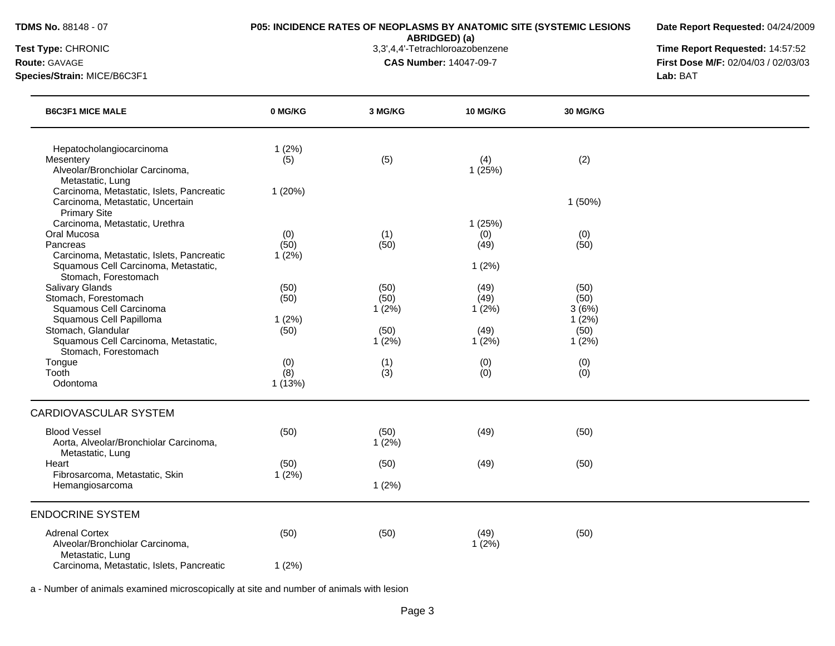**Date Report Requested:** 04/24/2009

**ABRIDGED) (a)**<br>3,3',4,4'-Tetrachloroazobenzene

**Test Type:** CHRONIC 3,3',4,4'-Tetrachloroazobenzene **Time Report Requested:** 14:57:52 **Route:** GAVAGE **CAS Number:** 14047-09-7 **First Dose M/F:** 02/04/03 / 02/03/03 **Species/Strain:** MICE/B6C3F1 **Lab:** BAT

| <b>B6C3F1 MICE MALE</b>                                                                                                                        | 0 MG/KG               | 3 MG/KG               | 10 MG/KG                       | 30 MG/KG                       |  |
|------------------------------------------------------------------------------------------------------------------------------------------------|-----------------------|-----------------------|--------------------------------|--------------------------------|--|
| Hepatocholangiocarcinoma<br>Mesentery<br>Alveolar/Bronchiolar Carcinoma,<br>Metastatic, Lung                                                   | 1(2%)<br>(5)          | (5)                   | (4)<br>1(25%)                  | (2)                            |  |
| Carcinoma, Metastatic, Islets, Pancreatic<br>Carcinoma, Metastatic, Uncertain<br><b>Primary Site</b>                                           | 1(20%)                |                       |                                | $1(50\%)$                      |  |
| Carcinoma, Metastatic, Urethra<br>Oral Mucosa<br>Pancreas<br>Carcinoma, Metastatic, Islets, Pancreatic<br>Squamous Cell Carcinoma, Metastatic, | (0)<br>(50)<br>1(2%)  | (1)<br>(50)           | 1(25%)<br>(0)<br>(49)<br>1(2%) | (0)<br>(50)                    |  |
| Stomach, Forestomach<br><b>Salivary Glands</b><br>Stomach, Forestomach<br>Squamous Cell Carcinoma<br>Squamous Cell Papilloma                   | (50)<br>(50)<br>1(2%) | (50)<br>(50)<br>1(2%) | (49)<br>(49)<br>1(2%)          | (50)<br>(50)<br>3(6%)<br>1(2%) |  |
| Stomach, Glandular<br>Squamous Cell Carcinoma, Metastatic,<br>Stomach, Forestomach                                                             | (50)                  | (50)<br>$1(2\%)$      | (49)<br>1(2%)                  | (50)<br>1(2%)                  |  |
| Tongue<br>Tooth<br>Odontoma                                                                                                                    | (0)<br>(8)<br>1(13%)  | (1)<br>(3)            | (0)<br>(0)                     | (0)<br>(0)                     |  |
| <b>CARDIOVASCULAR SYSTEM</b>                                                                                                                   |                       |                       |                                |                                |  |
| <b>Blood Vessel</b><br>Aorta, Alveolar/Bronchiolar Carcinoma,<br>Metastatic, Lung                                                              | (50)                  | (50)<br>1(2%)         | (49)                           | (50)                           |  |
| Heart<br>Fibrosarcoma, Metastatic, Skin                                                                                                        | (50)<br>1(2%)         | (50)                  | (49)                           | (50)                           |  |
| Hemangiosarcoma                                                                                                                                |                       | 1(2%)                 |                                |                                |  |
| <b>ENDOCRINE SYSTEM</b>                                                                                                                        |                       |                       |                                |                                |  |
| <b>Adrenal Cortex</b><br>Alveolar/Bronchiolar Carcinoma,<br>Metastatic, Lung                                                                   | (50)                  | (50)                  | (49)<br>1(2%)                  | (50)                           |  |
| Carcinoma, Metastatic, Islets, Pancreatic                                                                                                      | 1(2%)                 |                       |                                |                                |  |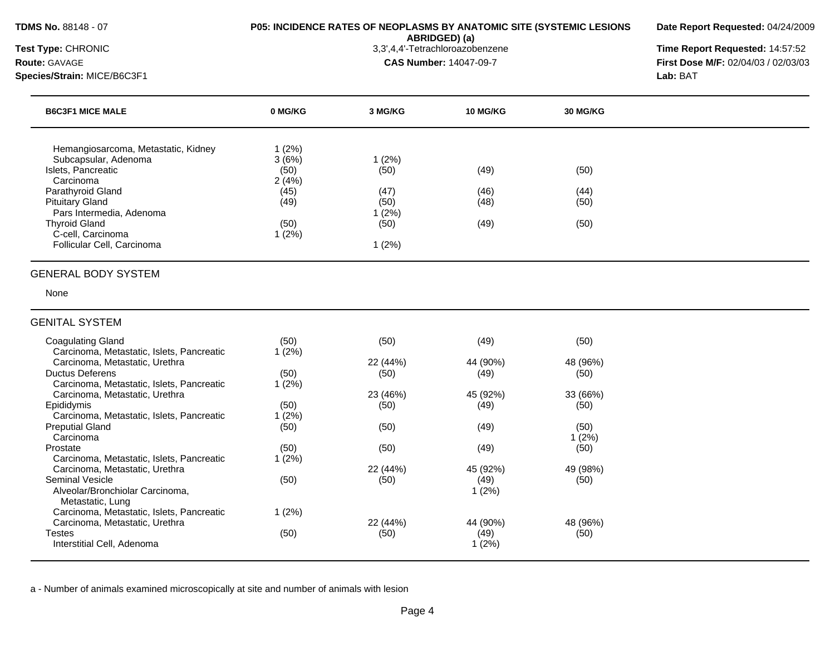**Date Report Requested:** 04/24/2009

**ABRIDGED) (a)**<br>3,3',4,4'-Tetrachloroazobenzene

**Test Type:** CHRONIC 3,3',4,4'-Tetrachloroazobenzene **Time Report Requested:** 14:57:52

| <b>Route: GAVAGE</b><br>Species/Strain: MICE/B6C3F1 |         |         | <b>CAS Number: 14047-09-7</b><br>Lab: BAT |                 | First Dose M/F: 02/04/03 / 02/03/03 |
|-----------------------------------------------------|---------|---------|-------------------------------------------|-----------------|-------------------------------------|
| <b>B6C3F1 MICE MALE</b>                             | 0 MG/KG | 3 MG/KG | <b>10 MG/KG</b>                           | <b>30 MG/KG</b> |                                     |
| Hemangiosarcoma, Metastatic, Kidney                 | 1(2%)   |         |                                           |                 |                                     |
| Subcapsular, Adenoma                                | 3(6%)   | 1(2%)   |                                           |                 |                                     |
| Islets, Pancreatic                                  | (50)    | (50)    | (49)                                      | (50)            |                                     |
| Carcinoma                                           | 2(4%)   |         |                                           |                 |                                     |
| Parathyroid Gland                                   | (45)    | (47)    | (46)                                      | (44)            |                                     |
| <b>Pituitary Gland</b>                              | (49)    | (50)    | (48)                                      | (50)            |                                     |
| Pars Intermedia, Adenoma                            |         | (2%)    |                                           |                 |                                     |
| <b>Thyroid Gland</b>                                | (50)    | (50)    | (49)                                      | (50)            |                                     |
|                                                     |         |         |                                           |                 |                                     |
| C-cell, Carcinoma<br>Follicular Cell, Carcinoma     | 1(2%)   | 1(2%)   |                                           |                 |                                     |

### GENITAL SYSTEM

| Coagulating Gland<br>Carcinoma, Metastatic, Islets, Pancreatic | (50)<br>1(2%) | (50)     | (49)     | (50)     |
|----------------------------------------------------------------|---------------|----------|----------|----------|
| Carcinoma, Metastatic, Urethra                                 |               | 22 (44%) | 44 (90%) | 48 (96%) |
| <b>Ductus Deferens</b>                                         | (50)          | (50)     | (49)     | (50)     |
| Carcinoma, Metastatic, Islets, Pancreatic                      | 1(2%)         |          |          |          |
| Carcinoma, Metastatic, Urethra                                 |               | 23 (46%) | 45 (92%) | 33 (66%) |
| Epididymis                                                     | (50)          | (50)     | (49)     | (50)     |
| Carcinoma, Metastatic, Islets, Pancreatic                      | l (2%)        |          |          |          |
| <b>Preputial Gland</b>                                         | (50)          | (50)     | (49)     | (50)     |
| Carcinoma                                                      |               |          |          | $1(2\%)$ |
| Prostate                                                       | (50)          | (50)     | (49)     | (50)     |
| Carcinoma, Metastatic, Islets, Pancreatic                      | 1(2%)         |          |          |          |
| Carcinoma, Metastatic, Urethra                                 |               | 22 (44%) | 45 (92%) | 49 (98%) |
| Seminal Vesicle                                                | (50)          | (50)     | (49)     | (50)     |
| Alveolar/Bronchiolar Carcinoma,                                |               |          | 1(2%)    |          |
| Metastatic, Lung                                               |               |          |          |          |
| Carcinoma, Metastatic, Islets, Pancreatic                      | 1(2%)         |          |          |          |
| Carcinoma, Metastatic, Urethra                                 |               | 22 (44%) | 44 (90%) | 48 (96%) |
| Testes                                                         | (50)          | (50)     | (49)     | (50)     |
| Interstitial Cell, Adenoma                                     |               |          | 1 (2%)   |          |
|                                                                |               |          |          |          |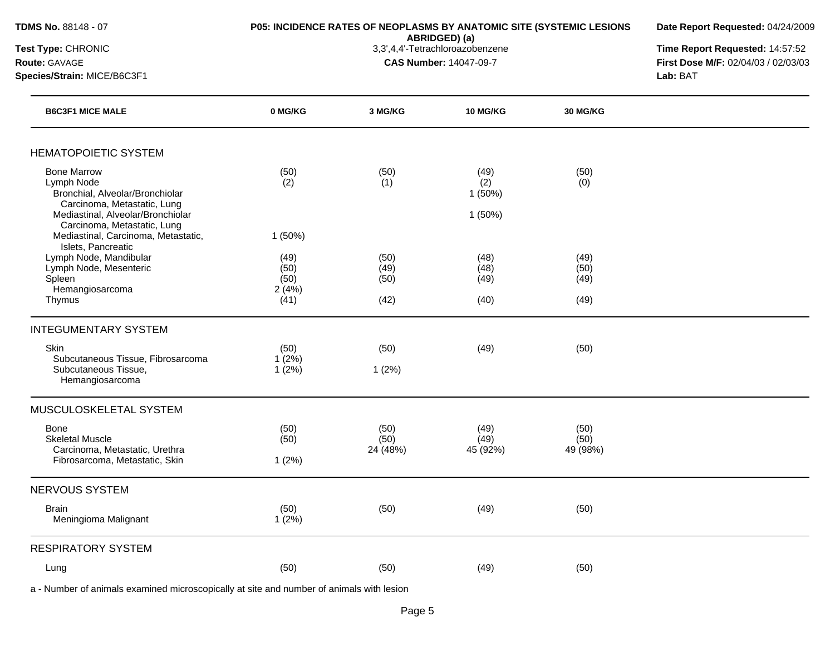### **P05: INCIDENCE RATES OF NEOPLASMS BY ANATOMIC SITE (SYSTEMIC LESIONS**

**Date Report Requested:** 04/24/2009

**ABRIDGED) (a)**<br>3,3',4,4'-Tetrachloroazobenzene

**Test Type:** CHRONIC 3,3',4,4'-Tetrachloroazobenzene **Time Report Requested:** 14:57:52 **Route:** GAVAGE **CAS Number:** 14047-09-7 **First Dose M/F:** 02/04/03 / 02/03/03 **Species/Strain:** MICE/B6C3F1 **Lab:** BAT

| <b>B6C3F1 MICE MALE</b>                                                                                                                                                | 0 MG/KG                                         | 3 MG/KG                      | <b>10 MG/KG</b>                 | <b>30 MG/KG</b>              |  |
|------------------------------------------------------------------------------------------------------------------------------------------------------------------------|-------------------------------------------------|------------------------------|---------------------------------|------------------------------|--|
| <b>HEMATOPOIETIC SYSTEM</b>                                                                                                                                            |                                                 |                              |                                 |                              |  |
| <b>Bone Marrow</b><br>Lymph Node<br>Bronchial, Alveolar/Bronchiolar<br>Carcinoma, Metastatic, Lung<br>Mediastinal, Alveolar/Bronchiolar<br>Carcinoma, Metastatic, Lung | (50)<br>(2)                                     | (50)<br>(1)                  | (49)<br>(2)<br>1(50%)<br>1(50%) | (50)<br>(0)                  |  |
| Mediastinal, Carcinoma, Metastatic,<br>Islets, Pancreatic<br>Lymph Node, Mandibular<br>Lymph Node, Mesenteric<br>Spleen<br>Hemangiosarcoma<br>Thymus                   | 1(50%)<br>(49)<br>(50)<br>(50)<br>2(4%)<br>(41) | (50)<br>(49)<br>(50)<br>(42) | (48)<br>(48)<br>(49)<br>(40)    | (49)<br>(50)<br>(49)<br>(49) |  |
| <b>INTEGUMENTARY SYSTEM</b>                                                                                                                                            |                                                 |                              |                                 |                              |  |
| Skin<br>Subcutaneous Tissue, Fibrosarcoma<br>Subcutaneous Tissue,<br>Hemangiosarcoma                                                                                   | (50)<br>1(2%)<br>1(2%)                          | (50)<br>1(2%)                | (49)                            | (50)                         |  |
| MUSCULOSKELETAL SYSTEM                                                                                                                                                 |                                                 |                              |                                 |                              |  |
| <b>Bone</b><br><b>Skeletal Muscle</b><br>Carcinoma, Metastatic, Urethra<br>Fibrosarcoma, Metastatic, Skin                                                              | (50)<br>(50)<br>1(2%)                           | (50)<br>(50)<br>24 (48%)     | (49)<br>(49)<br>45 (92%)        | (50)<br>(50)<br>49 (98%)     |  |
| <b>NERVOUS SYSTEM</b>                                                                                                                                                  |                                                 |                              |                                 |                              |  |
| <b>Brain</b><br>Meningioma Malignant                                                                                                                                   | (50)<br>1(2%)                                   | (50)                         | (49)                            | (50)                         |  |
| <b>RESPIRATORY SYSTEM</b>                                                                                                                                              |                                                 |                              |                                 |                              |  |
| Lung                                                                                                                                                                   | (50)                                            | (50)                         | (49)                            | (50)                         |  |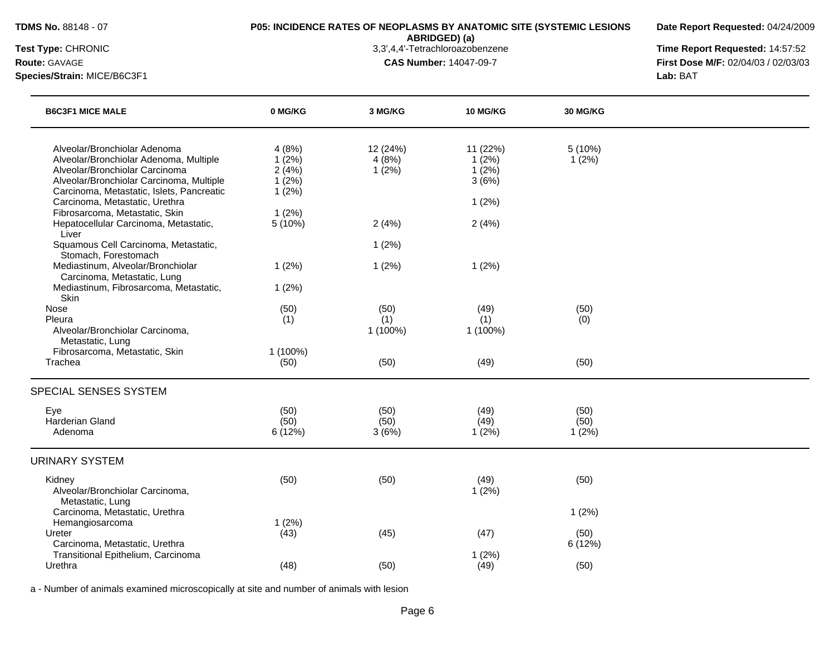**Date Report Requested:** 04/24/2009

**ABRIDGED) (a)**<br>3,3',4,4'-Tetrachloroazobenzene

**Test Type:** CHRONIC 3,3',4,4'-Tetrachloroazobenzene **Time Report Requested:** 14:57:52 **Route:** GAVAGE **CAS Number:** 14047-09-7 **First Dose M/F:** 02/04/03 / 02/03/03 **Species/Strain:** MICE/B6C3F1 **Lab:** BAT

| <b>B6C3F1 MICE MALE</b>                                                                                                                                                                           | 0 MG/KG                                   | 3 MG/KG                    | 10 MG/KG                            | <b>30 MG/KG</b> |  |
|---------------------------------------------------------------------------------------------------------------------------------------------------------------------------------------------------|-------------------------------------------|----------------------------|-------------------------------------|-----------------|--|
| Alveolar/Bronchiolar Adenoma<br>Alveolar/Bronchiolar Adenoma, Multiple<br>Alveolar/Bronchiolar Carcinoma<br>Alveolar/Bronchiolar Carcinoma, Multiple<br>Carcinoma, Metastatic, Islets, Pancreatic | 4(8%)<br>1(2%)<br>2(4%)<br>1(2%)<br>1(2%) | 12 (24%)<br>4(8%)<br>1(2%) | 11 (22%)<br>1(2%)<br>1(2%)<br>3(6%) | 5(10%)<br>1(2%) |  |
| Carcinoma, Metastatic, Urethra<br>Fibrosarcoma, Metastatic, Skin                                                                                                                                  | 1(2%)                                     |                            | 1(2%)                               |                 |  |
| Hepatocellular Carcinoma, Metastatic,<br>Liver                                                                                                                                                    | 5(10%)                                    | 2(4%)                      | 2(4%)                               |                 |  |
| Squamous Cell Carcinoma, Metastatic,<br>Stomach, Forestomach                                                                                                                                      |                                           | 1(2%)                      |                                     |                 |  |
| Mediastinum, Alveolar/Bronchiolar<br>Carcinoma, Metastatic, Lung                                                                                                                                  | 1(2%)                                     | 1(2%)                      | 1(2%)                               |                 |  |
| Mediastinum, Fibrosarcoma, Metastatic,<br>Skin                                                                                                                                                    | 1(2%)                                     |                            |                                     |                 |  |
| Nose                                                                                                                                                                                              | (50)                                      | (50)                       | (49)                                | (50)            |  |
| Pleura<br>Alveolar/Bronchiolar Carcinoma,                                                                                                                                                         | (1)                                       | (1)<br>1 (100%)            | (1)<br>1 (100%)                     | (0)             |  |
| Metastatic, Lung<br>Fibrosarcoma, Metastatic, Skin<br>Trachea                                                                                                                                     | 1 (100%)<br>(50)                          | (50)                       | (49)                                | (50)            |  |
| SPECIAL SENSES SYSTEM                                                                                                                                                                             |                                           |                            |                                     |                 |  |
| Eye                                                                                                                                                                                               | (50)                                      | (50)                       | (49)                                | (50)            |  |
| Harderian Gland<br>Adenoma                                                                                                                                                                        | (50)<br>6 (12%)                           | (50)<br>3(6%)              | (49)<br>1(2%)                       | (50)<br>1(2%)   |  |
| <b>URINARY SYSTEM</b>                                                                                                                                                                             |                                           |                            |                                     |                 |  |
| Kidney<br>Alveolar/Bronchiolar Carcinoma,<br>Metastatic, Lung                                                                                                                                     | (50)                                      | (50)                       | (49)<br>1(2%)                       | (50)            |  |
| Carcinoma, Metastatic, Urethra                                                                                                                                                                    |                                           |                            |                                     | 1(2%)           |  |
| Hemangiosarcoma<br>Ureter<br>Carcinoma, Metastatic, Urethra                                                                                                                                       | 1(2%)<br>(43)                             | (45)                       | (47)                                | (50)<br>6(12%)  |  |
| Transitional Epithelium, Carcinoma<br>Urethra                                                                                                                                                     | (48)                                      | (50)                       | 1(2%)<br>(49)                       | (50)            |  |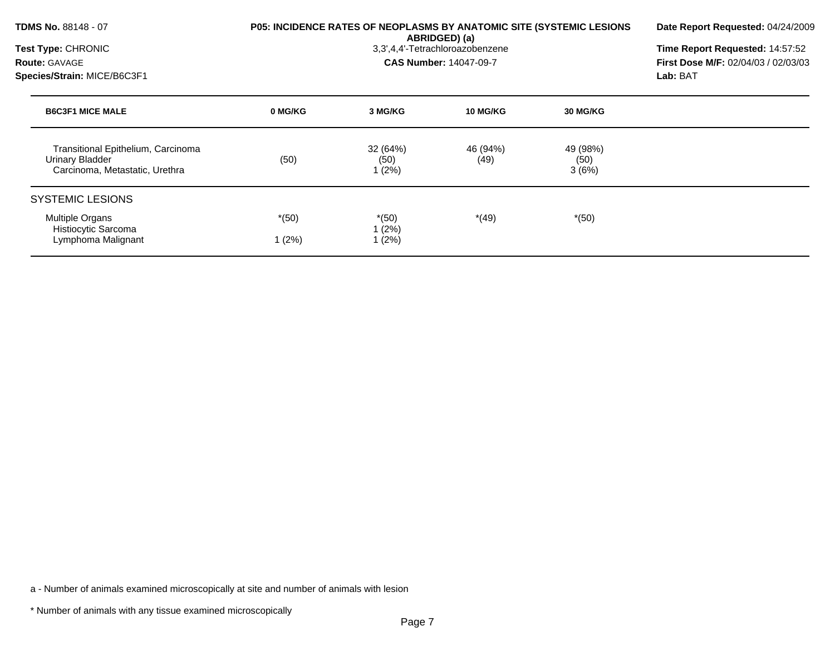| <b>TDMS No. 88148 - 07</b><br>Test Type: CHRONIC<br><b>Route: GAVAGE</b><br>Species/Strain: MICE/B6C3F1 |                   |                           | <b>P05: INCIDENCE RATES OF NEOPLASMS BY ANATOMIC SITE (SYSTEMIC LESIONS)</b><br>ABRIDGED) (a)<br>3,3',4,4'-Tetrachloroazobenzene<br><b>CAS Number: 14047-09-7</b> |                           | Date Report Requested: 04/24/2009<br>Time Report Requested: 14:57:52<br><b>First Dose M/F: 02/04/03 / 02/03/03</b><br>Lab: BAT |
|---------------------------------------------------------------------------------------------------------|-------------------|---------------------------|-------------------------------------------------------------------------------------------------------------------------------------------------------------------|---------------------------|--------------------------------------------------------------------------------------------------------------------------------|
| <b>B6C3F1 MICE MALE</b>                                                                                 | 0 MG/KG           | 3 MG/KG                   | 10 MG/KG                                                                                                                                                          | 30 MG/KG                  |                                                                                                                                |
| Transitional Epithelium, Carcinoma<br>Urinary Bladder<br>Carcinoma, Metastatic, Urethra                 | (50)              | 32 (64%)<br>(50)<br>1(2%) | 46 (94%)<br>(49)                                                                                                                                                  | 49 (98%)<br>(50)<br>3(6%) |                                                                                                                                |
| <b>SYSTEMIC LESIONS</b>                                                                                 |                   |                           |                                                                                                                                                                   |                           |                                                                                                                                |
| <b>Multiple Organs</b><br>Histiocytic Sarcoma<br>Lymphoma Malignant                                     | $*(50)$<br>1 (2%) | $*(50)$<br>1(2%)<br>1(2%) | $*(49)$                                                                                                                                                           | $*(50)$                   |                                                                                                                                |

\* Number of animals with any tissue examined microscopically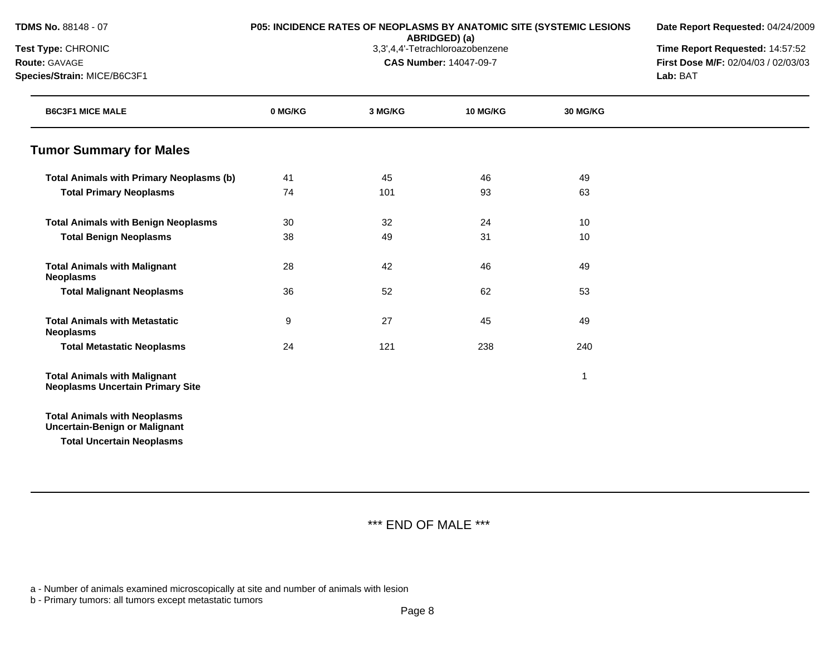**Date Report Requested:** 04/24/2009

**ABRIDGED) (a)**<br>3,3',4,4'-Tetrachloroazobenzene

**Test Type:** CHRONIC 3,3',4,4'-Tetrachloroazobenzene **Time Report Requested:** 14:57:52 **Route:** GAVAGE **CAS Number:** 14047-09-7 **First Dose M/F:** 02/04/03 / 02/03/03 **Species/Strain:** MICE/B6C3F1 **Lab:** BAT

| <b>B6C3F1 MICE MALE</b>                                                                                         | 0 MG/KG | 3 MG/KG | <b>10 MG/KG</b> | 30 MG/KG |  |
|-----------------------------------------------------------------------------------------------------------------|---------|---------|-----------------|----------|--|
| <b>Tumor Summary for Males</b>                                                                                  |         |         |                 |          |  |
| <b>Total Animals with Primary Neoplasms (b)</b>                                                                 | 41      | 45      | 46              | 49       |  |
| <b>Total Primary Neoplasms</b>                                                                                  | 74      | 101     | 93              | 63       |  |
| <b>Total Animals with Benign Neoplasms</b>                                                                      | 30      | 32      | 24              | 10       |  |
| <b>Total Benign Neoplasms</b>                                                                                   | 38      | 49      | 31              | 10       |  |
| <b>Total Animals with Malignant</b><br><b>Neoplasms</b>                                                         | 28      | 42      | 46              | 49       |  |
| <b>Total Malignant Neoplasms</b>                                                                                | 36      | 52      | 62              | 53       |  |
| <b>Total Animals with Metastatic</b><br><b>Neoplasms</b>                                                        | 9       | 27      | 45              | 49       |  |
| <b>Total Metastatic Neoplasms</b>                                                                               | 24      | 121     | 238             | 240      |  |
| <b>Total Animals with Malignant</b><br><b>Neoplasms Uncertain Primary Site</b>                                  |         |         |                 | -1       |  |
| <b>Total Animals with Neoplasms</b><br><b>Uncertain-Benign or Malignant</b><br><b>Total Uncertain Neoplasms</b> |         |         |                 |          |  |

\*\*\* END OF MALE \*\*\*

a - Number of animals examined microscopically at site and number of animals with lesion

b - Primary tumors: all tumors except metastatic tumors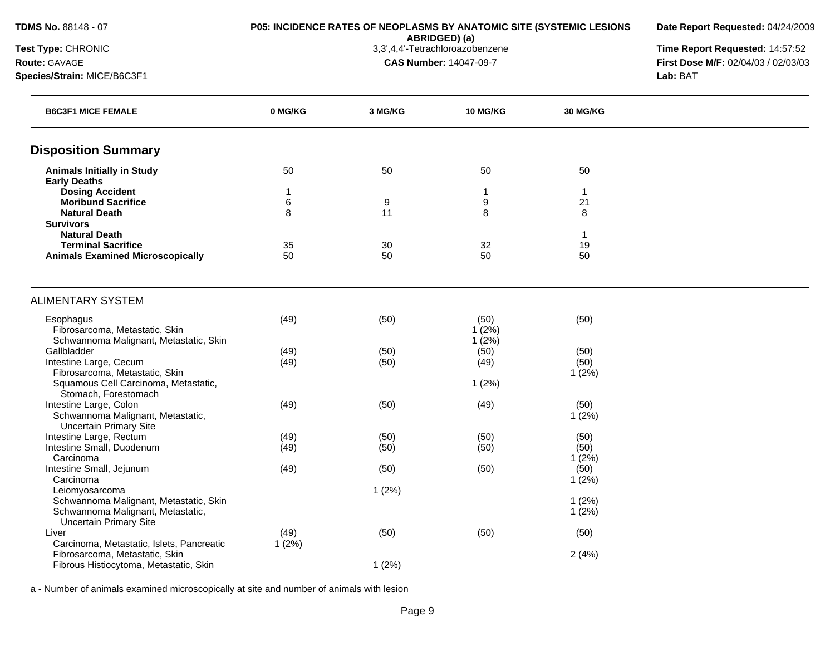**ABRIDGED) (a)**<br>3,3',4,4'-Tetrachloroazobenzene

**Date Report Requested:** 04/24/2009

**Test Type:** CHRONIC 3,3',4,4'-Tetrachloroazobenzene **Time Report Requested:** 14:57:52 **Route:** GAVAGE **CAS Number:** 14047-09-7 **First Dose M/F:** 02/04/03 / 02/03/03

**Species/Strain:** MICE/B6C3F1 **Lab:** BAT

| <b>B6C3F1 MICE FEMALE</b>                 | 0 MG/KG | 3 MG/KG | <b>10 MG/KG</b> | <b>30 MG/KG</b> |  |
|-------------------------------------------|---------|---------|-----------------|-----------------|--|
| <b>Disposition Summary</b>                |         |         |                 |                 |  |
| <b>Animals Initially in Study</b>         | 50      | 50      | 50              | 50              |  |
| <b>Early Deaths</b>                       |         |         |                 |                 |  |
| <b>Dosing Accident</b>                    | 1       |         | 1               | $\mathbf{1}$    |  |
| <b>Moribund Sacrifice</b>                 | 6       | 9<br>11 | 9               | 21              |  |
| <b>Natural Death</b><br><b>Survivors</b>  | 8       |         | 8               | 8               |  |
| <b>Natural Death</b>                      |         |         |                 | $\mathbf{1}$    |  |
| <b>Terminal Sacrifice</b>                 | 35      | 30      | 32              | 19              |  |
| <b>Animals Examined Microscopically</b>   | 50      | 50      | 50              | 50              |  |
|                                           |         |         |                 |                 |  |
| <b>ALIMENTARY SYSTEM</b>                  |         |         |                 |                 |  |
| Esophagus                                 | (49)    | (50)    | (50)            | (50)            |  |
| Fibrosarcoma, Metastatic, Skin            |         |         | 1(2%)           |                 |  |
| Schwannoma Malignant, Metastatic, Skin    |         |         | 1(2%)           |                 |  |
| Gallbladder                               | (49)    | (50)    | (50)            | (50)            |  |
| Intestine Large, Cecum                    | (49)    | (50)    | (49)            | (50)            |  |
| Fibrosarcoma, Metastatic, Skin            |         |         |                 | 1(2%)           |  |
| Squamous Cell Carcinoma, Metastatic,      |         |         | 1(2%)           |                 |  |
| Stomach, Forestomach                      |         |         |                 |                 |  |
| Intestine Large, Colon                    | (49)    | (50)    | (49)            | (50)            |  |
| Schwannoma Malignant, Metastatic,         |         |         |                 | 1(2%)           |  |
| <b>Uncertain Primary Site</b>             |         |         |                 |                 |  |
| Intestine Large, Rectum                   | (49)    | (50)    | (50)            | (50)            |  |
| Intestine Small, Duodenum<br>Carcinoma    | (49)    | (50)    | (50)            | (50)<br>1(2%)   |  |
| Intestine Small, Jejunum                  | (49)    | (50)    | (50)            | (50)            |  |
| Carcinoma                                 |         |         |                 | 1(2%)           |  |
| Leiomyosarcoma                            |         | 1(2%)   |                 |                 |  |
| Schwannoma Malignant, Metastatic, Skin    |         |         |                 | 1(2%)           |  |
| Schwannoma Malignant, Metastatic,         |         |         |                 | 1(2%)           |  |
| <b>Uncertain Primary Site</b>             |         |         |                 |                 |  |
| Liver                                     | (49)    | (50)    | (50)            | (50)            |  |
| Carcinoma, Metastatic, Islets, Pancreatic | 1(2%)   |         |                 |                 |  |
| Fibrosarcoma, Metastatic, Skin            |         |         |                 | 2(4%)           |  |
| Fibrous Histiocytoma, Metastatic, Skin    |         | 1(2%)   |                 |                 |  |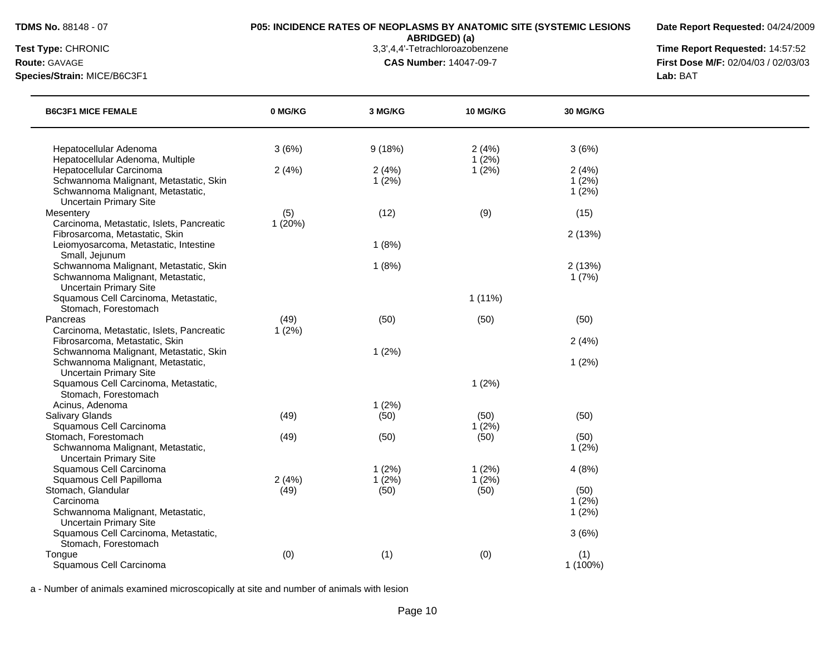**Date Report Requested:** 04/24/2009

**ABRIDGED) (a)**<br>3,3',4,4'-Tetrachloroazobenzene

**Species/Strain:** MICE/B6C3F1 **Lab:** BAT

**Test Type:** CHRONIC 3,3',4,4'-Tetrachloroazobenzene **Time Report Requested:** 14:57:52 **Route:** GAVAGE **CAS Number:** 14047-09-7 **First Dose M/F:** 02/04/03 / 02/03/03

| <b>B6C3F1 MICE FEMALE</b>                                                                                                                | 0 MG/KG          | 3 MG/KG        | 10 MG/KG       | 30 MG/KG                |  |
|------------------------------------------------------------------------------------------------------------------------------------------|------------------|----------------|----------------|-------------------------|--|
| Hepatocellular Adenoma<br>Hepatocellular Adenoma, Multiple                                                                               | 3(6%)            | 9(18%)         | 2(4%)<br>1(2%) | 3(6%)                   |  |
| Hepatocellular Carcinoma<br>Schwannoma Malignant, Metastatic, Skin<br>Schwannoma Malignant, Metastatic,<br><b>Uncertain Primary Site</b> | 2(4%)            | 2(4%)<br>1(2%) | 1(2%)          | 2(4%)<br>1(2%)<br>1(2%) |  |
| Mesentery<br>Carcinoma, Metastatic, Islets, Pancreatic                                                                                   | (5)<br>1(20%)    | (12)           | (9)            | (15)                    |  |
| Fibrosarcoma, Metastatic, Skin<br>Leiomyosarcoma, Metastatic, Intestine<br>Small, Jejunum                                                |                  | 1(8%)          |                | 2(13%)                  |  |
| Schwannoma Malignant, Metastatic, Skin<br>Schwannoma Malignant, Metastatic,<br><b>Uncertain Primary Site</b>                             |                  | 1(8%)          |                | 2(13%)<br>1(7%)         |  |
| Squamous Cell Carcinoma, Metastatic,<br>Stomach, Forestomach                                                                             |                  |                | $1(11\%)$      |                         |  |
| Pancreas<br>Carcinoma, Metastatic, Islets, Pancreatic                                                                                    | (49)<br>$1(2\%)$ | (50)           | (50)           | (50)                    |  |
| Fibrosarcoma, Metastatic, Skin<br>Schwannoma Malignant, Metastatic, Skin                                                                 |                  | 1(2%)          |                | 2(4%)                   |  |
| Schwannoma Malignant, Metastatic,<br><b>Uncertain Primary Site</b>                                                                       |                  |                |                | 1(2%)                   |  |
| Squamous Cell Carcinoma, Metastatic,<br>Stomach, Forestomach                                                                             |                  |                | 1(2%)          |                         |  |
| Acinus, Adenoma                                                                                                                          |                  | 1(2%)          |                |                         |  |
| Salivary Glands                                                                                                                          | (49)             | (50)           | (50)           | (50)                    |  |
| Squamous Cell Carcinoma<br>Stomach, Forestomach                                                                                          | (49)             | (50)           | 1(2%)<br>(50)  | (50)                    |  |
| Schwannoma Malignant, Metastatic,<br><b>Uncertain Primary Site</b>                                                                       |                  |                |                | 1(2%)                   |  |
| Squamous Cell Carcinoma                                                                                                                  |                  | 1(2%)          | 1(2%)          | 4(8%)                   |  |
| Squamous Cell Papilloma                                                                                                                  | 2(4%)            | 1(2%)          | $1(2\%)$       |                         |  |
| Stomach, Glandular                                                                                                                       | (49)             | (50)           | (50)           | (50)                    |  |
| Carcinoma                                                                                                                                |                  |                |                | 1(2%)                   |  |
| Schwannoma Malignant, Metastatic,                                                                                                        |                  |                |                | 1(2%)                   |  |
| <b>Uncertain Primary Site</b>                                                                                                            |                  |                |                |                         |  |
| Squamous Cell Carcinoma, Metastatic,<br>Stomach, Forestomach                                                                             |                  |                |                | 3(6%)                   |  |
| Tongue                                                                                                                                   | (0)              | (1)            | (0)            | (1)                     |  |
| Squamous Cell Carcinoma                                                                                                                  |                  |                |                | 1 (100%)                |  |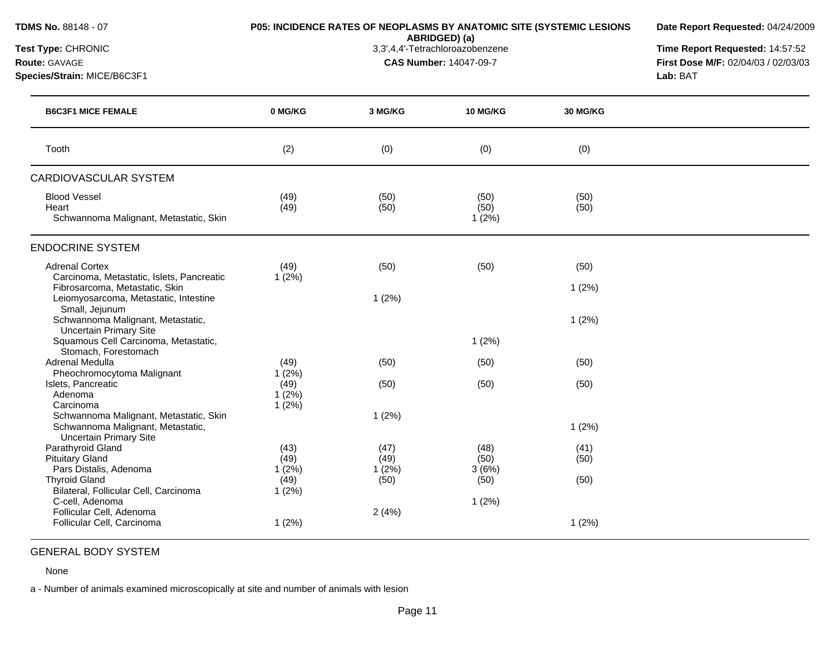| TDMS No. 88148 - 07<br>Test Type: CHRONIC<br>Route: GAVAGE<br>Species/Strain: MICE/B6C3F1                                                     | P05: INCIDENCE RATES OF NEOPLASMS BY ANATOMIC SITE (SYSTEMIC LESIONS | Date Report Requested: 04/24/2009<br>Time Report Requested: 14:57:52<br>First Dose M/F: 02/04/03 / 02/03/03<br>Lab: BAT |                       |                 |  |
|-----------------------------------------------------------------------------------------------------------------------------------------------|----------------------------------------------------------------------|-------------------------------------------------------------------------------------------------------------------------|-----------------------|-----------------|--|
| <b>B6C3F1 MICE FEMALE</b>                                                                                                                     | 0 MG/KG                                                              | 3 MG/KG                                                                                                                 | <b>10 MG/KG</b>       | <b>30 MG/KG</b> |  |
| Tooth                                                                                                                                         | (2)                                                                  | (0)                                                                                                                     | (0)                   | (0)             |  |
| <b>CARDIOVASCULAR SYSTEM</b>                                                                                                                  |                                                                      |                                                                                                                         |                       |                 |  |
| <b>Blood Vessel</b><br>Heart<br>Schwannoma Malignant, Metastatic, Skin                                                                        | (49)<br>(49)                                                         | (50)<br>(50)                                                                                                            | (50)<br>(50)<br>1(2%) | (50)<br>(50)    |  |
| <b>ENDOCRINE SYSTEM</b>                                                                                                                       |                                                                      |                                                                                                                         |                       |                 |  |
| <b>Adrenal Cortex</b><br>Carcinoma, Metastatic, Islets, Pancreatic<br>Fibrosarcoma, Metastatic, Skin<br>Leiomyosarcoma, Metastatic, Intestine | (49)<br>1(2%)                                                        | (50)<br>1(2%)                                                                                                           | (50)                  | (50)<br>1(2%)   |  |
| Small, Jejunum<br>Schwannoma Malignant, Metastatic,<br><b>Uncertain Primary Site</b>                                                          |                                                                      |                                                                                                                         |                       | 1(2%)           |  |
| Squamous Cell Carcinoma, Metastatic,<br>Stomach, Forestomach                                                                                  |                                                                      |                                                                                                                         | 1(2%)                 |                 |  |
| Adrenal Medulla                                                                                                                               | (49)                                                                 | (50)                                                                                                                    | (50)                  | (50)            |  |
| Pheochromocytoma Malignant<br>Islets, Pancreatic<br>Adenoma<br>Carcinoma                                                                      | 1(2%)<br>(49)<br>1(2%)                                               | (50)                                                                                                                    | (50)                  | (50)            |  |
| Schwannoma Malignant, Metastatic, Skin<br>Schwannoma Malignant, Metastatic,<br><b>Uncertain Primary Site</b>                                  | 1(2%)                                                                | 1(2%)                                                                                                                   |                       | 1(2%)           |  |
| Parathyroid Gland<br><b>Pituitary Gland</b><br>Pars Distalis, Adenoma                                                                         | (43)<br>(49)<br>1(2%)                                                | (47)<br>(49)<br>1(2%)                                                                                                   | (48)<br>(50)<br>3(6%) | (41)<br>(50)    |  |
| <b>Thyroid Gland</b><br>Bilateral, Follicular Cell, Carcinoma<br>C-cell, Adenoma                                                              | (49)<br>1(2%)                                                        | (50)                                                                                                                    | (50)<br>1(2%)         | (50)            |  |
| Follicular Cell, Adenoma<br>Follicular Cell, Carcinoma                                                                                        | 1(2%)                                                                | 2(4%)                                                                                                                   |                       | 1(2%)           |  |

# GENERAL BODY SYSTEM

None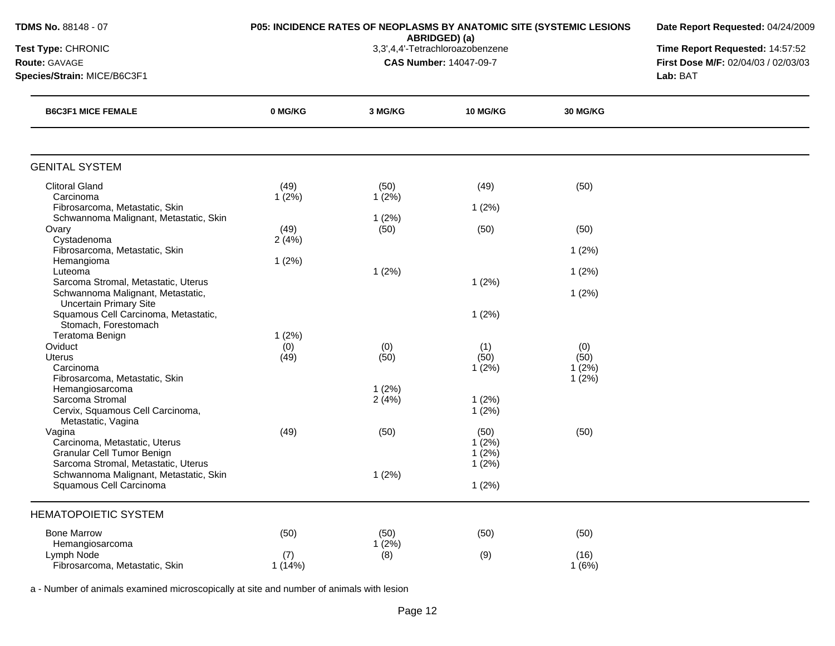| TDMS No. 88148 - 07                                                           |              | P05: INCIDENCE RATES OF NEOPLASMS BY ANATOMIC SITE (SYSTEMIC LESIONS<br>ABRIDGED) (a) | Date Report Requested: 04/24/2009 |          |  |
|-------------------------------------------------------------------------------|--------------|---------------------------------------------------------------------------------------|-----------------------------------|----------|--|
| Test Type: CHRONIC<br><b>Route: GAVAGE</b><br>Species/Strain: MICE/B6C3F1     |              | Time Report Requested: 14:57:52<br>First Dose M/F: 02/04/03 / 02/03/03<br>Lab: BAT    |                                   |          |  |
| <b>B6C3F1 MICE FEMALE</b>                                                     | 0 MG/KG      | 3 MG/KG                                                                               | <b>10 MG/KG</b>                   | 30 MG/KG |  |
| <b>GENITAL SYSTEM</b>                                                         |              |                                                                                       |                                   |          |  |
| <b>Clitoral Gland</b>                                                         | (49)         | (50)                                                                                  | (49)                              | (50)     |  |
| Carcinoma                                                                     | $1(2\%)$     | 1(2%)                                                                                 |                                   |          |  |
| Fibrosarcoma, Metastatic, Skin<br>Schwannoma Malignant, Metastatic, Skin      |              | 1(2%)                                                                                 | 1(2%)                             |          |  |
| Ovary                                                                         | (49)         | (50)                                                                                  | (50)                              | (50)     |  |
| Cystadenoma                                                                   | 2(4%)        |                                                                                       |                                   |          |  |
| Fibrosarcoma, Metastatic, Skin                                                |              |                                                                                       |                                   | 1(2%)    |  |
| Hemangioma                                                                    | 1(2%)        |                                                                                       |                                   |          |  |
| Luteoma<br>Sarcoma Stromal, Metastatic, Uterus                                |              | 1(2%)                                                                                 | 1(2%)                             | 1(2%)    |  |
| Schwannoma Malignant, Metastatic,<br><b>Uncertain Primary Site</b>            |              |                                                                                       |                                   | 1(2%)    |  |
| Squamous Cell Carcinoma, Metastatic,                                          |              |                                                                                       | 1(2%)                             |          |  |
| Stomach, Forestomach                                                          |              |                                                                                       |                                   |          |  |
| Teratoma Benign<br>Oviduct                                                    | 1(2%)<br>(0) | (0)                                                                                   | (1)                               | (0)      |  |
| <b>Uterus</b>                                                                 | (49)         | (50)                                                                                  | (50)                              | (50)     |  |
| Carcinoma                                                                     |              |                                                                                       | 1(2%)                             | 1(2%)    |  |
| Fibrosarcoma, Metastatic, Skin                                                |              |                                                                                       |                                   | $1(2\%)$ |  |
| Hemangiosarcoma                                                               |              | 1(2%)                                                                                 |                                   |          |  |
| Sarcoma Stromal<br>Cervix, Squamous Cell Carcinoma,                           |              | 2(4%)                                                                                 | 1(2%)<br>1(2%)                    |          |  |
| Metastatic, Vagina                                                            |              |                                                                                       |                                   |          |  |
| Vagina                                                                        | (49)         | (50)                                                                                  | (50)                              | (50)     |  |
| Carcinoma, Metastatic, Uterus                                                 |              |                                                                                       | $1(2\%)$                          |          |  |
| Granular Cell Tumor Benign                                                    |              |                                                                                       | $1(2\%)$                          |          |  |
| Sarcoma Stromal, Metastatic, Uterus<br>Schwannoma Malignant, Metastatic, Skin |              |                                                                                       | 1(2%)                             |          |  |
| Squamous Cell Carcinoma                                                       |              | 1(2%)                                                                                 | 1(2%)                             |          |  |
| <b>HEMATOPOIETIC SYSTEM</b>                                                   |              |                                                                                       |                                   |          |  |
| <b>Bone Marrow</b>                                                            | (50)         | (50)                                                                                  | (50)                              | (50)     |  |
| Hemangiosarcoma                                                               |              | $1(2\%)$                                                                              |                                   |          |  |
| Lymph Node                                                                    | (7)          | (8)                                                                                   | (9)                               | (16)     |  |
| Fibrosarcoma, Metastatic, Skin                                                | 1(14%)       |                                                                                       |                                   | 1(6%)    |  |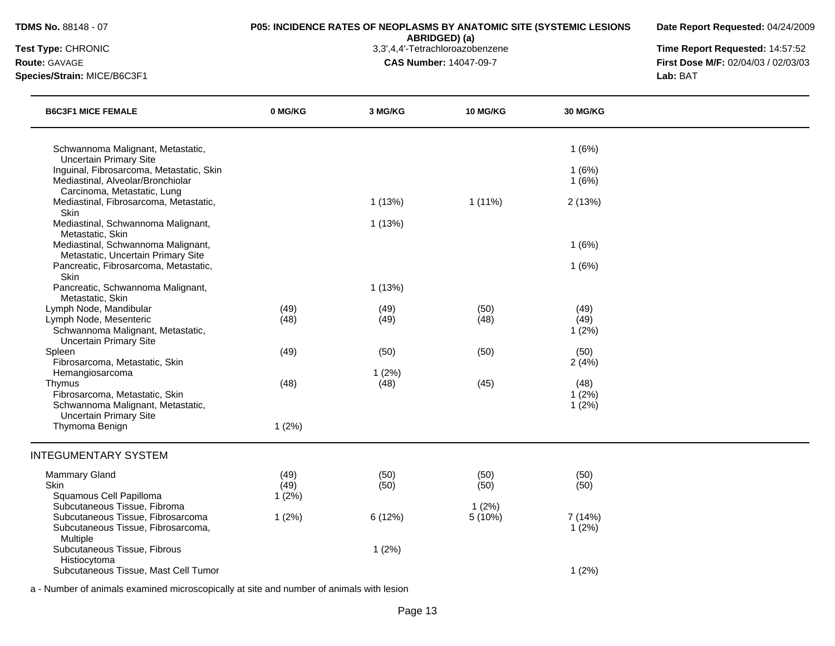Histiocytoma

#### **TDMS No.** 88148 - 07 **P05: INCIDENCE RATES OF NEOPLASMS BY ANATOMIC SITE (SYSTEMIC LESIONS**

**Date Report Requested:** 04/24/2009

**ABRIDGED) (a)**<br>3,3',4,4'-Tetrachloroazobenzene

**Test Type:** CHRONIC 3,3',4,4'-Tetrachloroazobenzene **Time Report Requested:** 14:57:52 **Route:** GAVAGE **CAS Number:** 14047-09-7 **First Dose M/F:** 02/04/03 / 02/03/03 **Species/Strain:** MICE/B6C3F1 **Lab:** BAT

| <b>B6C3F1 MICE FEMALE</b>                                                                                      | 0 MG/KG      | 3 MG/KG       | <b>10 MG/KG</b> | 30 MG/KG        |  |
|----------------------------------------------------------------------------------------------------------------|--------------|---------------|-----------------|-----------------|--|
| Schwannoma Malignant, Metastatic,                                                                              |              |               |                 | 1(6%)           |  |
| <b>Uncertain Primary Site</b><br>Inguinal, Fibrosarcoma, Metastatic, Skin<br>Mediastinal, Alveolar/Bronchiolar |              |               |                 | 1(6%)<br>1(6%)  |  |
| Carcinoma, Metastatic, Lung<br>Mediastinal, Fibrosarcoma, Metastatic,<br>Skin                                  |              | 1(13%)        | $1(11\%)$       | 2(13%)          |  |
| Mediastinal, Schwannoma Malignant,<br>Metastatic, Skin                                                         |              | 1(13%)        |                 |                 |  |
| Mediastinal, Schwannoma Malignant,                                                                             |              |               |                 | 1(6%)           |  |
| Metastatic, Uncertain Primary Site<br>Pancreatic, Fibrosarcoma, Metastatic,<br>Skin                            |              |               |                 | 1(6%)           |  |
| Pancreatic, Schwannoma Malignant,<br>Metastatic, Skin                                                          |              | 1(13%)        |                 |                 |  |
| Lymph Node, Mandibular                                                                                         | (49)         | (49)          | (50)            | (49)            |  |
| Lymph Node, Mesenteric<br>Schwannoma Malignant, Metastatic,<br><b>Uncertain Primary Site</b>                   | (48)         | (49)          | (48)            | (49)<br>1(2%)   |  |
| Spleen<br>Fibrosarcoma, Metastatic, Skin                                                                       | (49)         | (50)          | (50)            | (50)<br>2(4%)   |  |
| Hemangiosarcoma<br>Thymus                                                                                      | (48)         | 1(2%)<br>(48) | (45)            | (48)            |  |
| Fibrosarcoma, Metastatic, Skin<br>Schwannoma Malignant, Metastatic,                                            |              |               |                 | 1(2%)<br>1(2%)  |  |
| <b>Uncertain Primary Site</b><br>Thymoma Benign                                                                | 1(2%)        |               |                 |                 |  |
| <b>INTEGUMENTARY SYSTEM</b>                                                                                    |              |               |                 |                 |  |
| Mammary Gland<br>Skin                                                                                          | (49)<br>(49) | (50)<br>(50)  | (50)<br>(50)    | (50)<br>(50)    |  |
| Squamous Cell Papilloma                                                                                        | 1(2%)        |               |                 |                 |  |
| Subcutaneous Tissue, Fibroma<br>Subcutaneous Tissue, Fibrosarcoma<br>Subcutaneous Tissue, Fibrosarcoma,        | 1(2%)        | 6(12%)        | 1(2%)<br>5(10%) | 7(14%)<br>1(2%) |  |
| Multiple<br>Subcutaneous Tissue, Fibrous                                                                       |              | 1(2%)         |                 |                 |  |

a - Number of animals examined microscopically at site and number of animals with lesion

Subcutaneous Tissue, Mast Cell Tumor 1 (2%)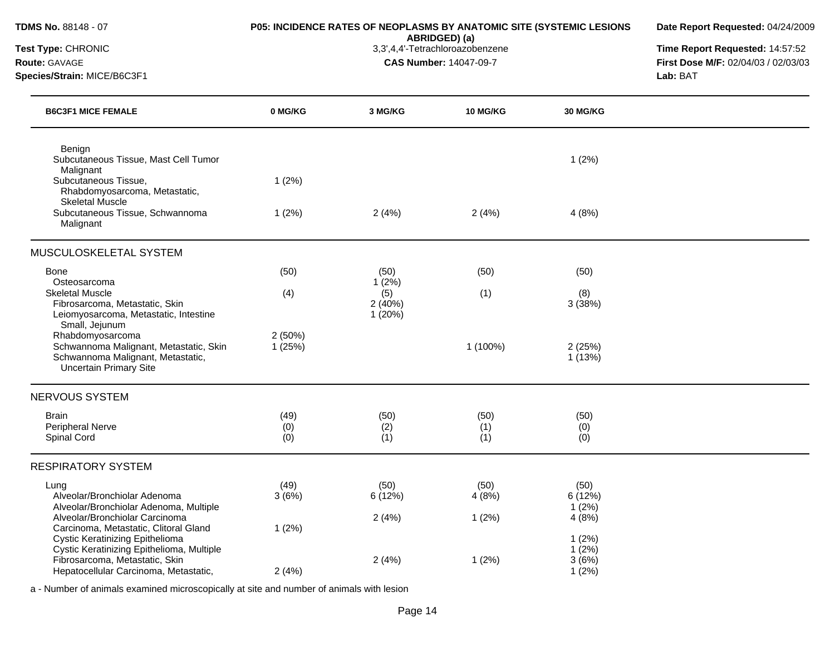| <b>TDMS No. 88148 - 07</b>                                                                                                                         |                    | P05: INCIDENCE RATES OF NEOPLASMS BY ANATOMIC SITE (SYSTEMIC LESIONS<br>ABRIDGED) (a) | Date Report Requested: 04/24/2009                                                  |                          |  |
|----------------------------------------------------------------------------------------------------------------------------------------------------|--------------------|---------------------------------------------------------------------------------------|------------------------------------------------------------------------------------|--------------------------|--|
| Test Type: CHRONIC<br><b>Route: GAVAGE</b><br>Species/Strain: MICE/B6C3F1                                                                          |                    | 3,3',4,4'-Tetrachloroazobenzene<br><b>CAS Number: 14047-09-7</b>                      | Time Report Requested: 14:57:52<br>First Dose M/F: 02/04/03 / 02/03/03<br>Lab: BAT |                          |  |
| <b>B6C3F1 MICE FEMALE</b>                                                                                                                          | 0 MG/KG            | 3 MG/KG                                                                               | 10 MG/KG                                                                           | <b>30 MG/KG</b>          |  |
| Benign<br>Subcutaneous Tissue, Mast Cell Tumor<br>Malignant                                                                                        |                    |                                                                                       |                                                                                    | 1(2%)                    |  |
| Subcutaneous Tissue,<br>Rhabdomyosarcoma, Metastatic,<br><b>Skeletal Muscle</b>                                                                    | 1(2%)              |                                                                                       |                                                                                    |                          |  |
| Subcutaneous Tissue, Schwannoma<br>Malignant                                                                                                       | 1(2%)              | 2(4%)                                                                                 | 2(4%)                                                                              | 4(8%)                    |  |
| MUSCULOSKELETAL SYSTEM                                                                                                                             |                    |                                                                                       |                                                                                    |                          |  |
| Bone                                                                                                                                               | (50)               | (50)                                                                                  | (50)                                                                               | (50)                     |  |
| Osteosarcoma<br><b>Skeletal Muscle</b><br>Fibrosarcoma, Metastatic, Skin<br>Leiomyosarcoma, Metastatic, Intestine                                  | (4)                | 1(2%)<br>(5)<br>2(40%)<br>1(20%)                                                      | (1)                                                                                | (8)<br>3(38%)            |  |
| Small, Jejunum<br>Rhabdomyosarcoma<br>Schwannoma Malignant, Metastatic, Skin<br>Schwannoma Malignant, Metastatic,<br><b>Uncertain Primary Site</b> | 2(50%)<br>1(25%)   |                                                                                       | 1 (100%)                                                                           | 2(25%)<br>1(13%)         |  |
| NERVOUS SYSTEM                                                                                                                                     |                    |                                                                                       |                                                                                    |                          |  |
| <b>Brain</b><br>Peripheral Nerve<br>Spinal Cord                                                                                                    | (49)<br>(0)<br>(0) | (50)<br>(2)<br>(1)                                                                    | (50)<br>(1)<br>(1)                                                                 | (50)<br>(0)<br>(0)       |  |
| <b>RESPIRATORY SYSTEM</b>                                                                                                                          |                    |                                                                                       |                                                                                    |                          |  |
| Lung<br>Alveolar/Bronchiolar Adenoma<br>Alveolar/Bronchiolar Adenoma, Multiple                                                                     | (49)<br>3(6%)      | (50)<br>6(12%)                                                                        | (50)<br>4(8%)                                                                      | (50)<br>6 (12%)<br>1(2%) |  |
| Alveolar/Bronchiolar Carcinoma<br>Carcinoma, Metastatic, Clitoral Gland<br>Cystic Keratinizing Epithelioma                                         | 1(2%)              | 2(4%)                                                                                 | 1(2%)                                                                              | 4(8%)<br>1(2%)           |  |
| Cystic Keratinizing Epithelioma, Multiple<br>Fibrosarcoma, Metastatic, Skin<br>Hepatocellular Carcinoma, Metastatic,                               | 2(4%)              | 2(4%)                                                                                 | 1(2%)                                                                              | 1(2%)<br>3(6%)<br>1(2%)  |  |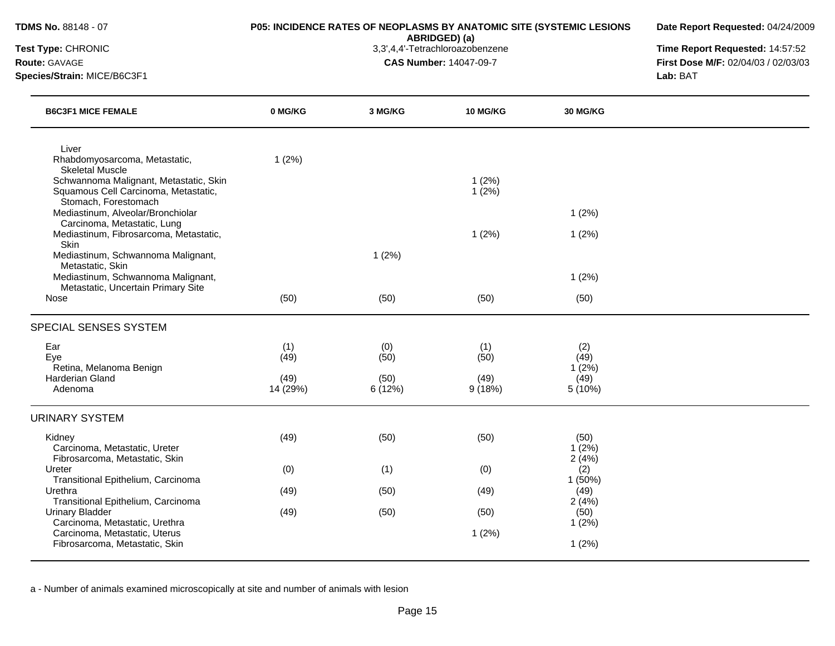**Date Report Requested:** 04/24/2009

**ABRIDGED) (a)**<br>3,3',4,4'-Tetrachloroazobenzene

**Test Type:** CHRONIC 3,3',4,4'-Tetrachloroazobenzene **Time Report Requested:** 14:57:52 **Route:** GAVAGE **CAS Number:** 14047-09-7 **First Dose M/F:** 02/04/03 / 02/03/03 **Species/Strain:** MICE/B6C3F1 **Lab:** BAT

| <b>B6C3F1 MICE FEMALE</b>                                                                                  | 0 MG/KG          | 3 MG/KG        | <b>10 MG/KG</b> | 30 MG/KG                |  |
|------------------------------------------------------------------------------------------------------------|------------------|----------------|-----------------|-------------------------|--|
| Liver<br>Rhabdomyosarcoma, Metastatic,<br><b>Skeletal Muscle</b>                                           | 1(2%)            |                |                 |                         |  |
| Schwannoma Malignant, Metastatic, Skin<br>Squamous Cell Carcinoma, Metastatic,<br>Stomach, Forestomach     |                  |                | 1(2%)<br>1(2%)  |                         |  |
| Mediastinum, Alveolar/Bronchiolar<br>Carcinoma, Metastatic, Lung<br>Mediastinum, Fibrosarcoma, Metastatic, |                  |                | 1(2%)           | 1(2%)<br>1(2%)          |  |
| Skin<br>Mediastinum, Schwannoma Malignant,<br>Metastatic, Skin                                             |                  | 1(2%)          |                 |                         |  |
| Mediastinum, Schwannoma Malignant,<br>Metastatic, Uncertain Primary Site                                   |                  |                |                 | 1(2%)                   |  |
| Nose                                                                                                       | (50)             | (50)           | (50)            | (50)                    |  |
| SPECIAL SENSES SYSTEM                                                                                      |                  |                |                 |                         |  |
| Ear<br>Eye                                                                                                 | (1)<br>(49)      | (0)<br>(50)    | (1)<br>(50)     | (2)<br>(49)             |  |
| Retina, Melanoma Benign<br>Harderian Gland<br>Adenoma                                                      | (49)<br>14 (29%) | (50)<br>6(12%) | (49)<br>9(18%)  | 1(2%)<br>(49)<br>5(10%) |  |
| <b>URINARY SYSTEM</b>                                                                                      |                  |                |                 |                         |  |
| Kidney<br>Carcinoma, Metastatic, Ureter<br>Fibrosarcoma, Metastatic, Skin                                  | (49)             | (50)           | (50)            | (50)<br>1(2%)<br>2(4%)  |  |
| Ureter<br>Transitional Epithelium, Carcinoma                                                               | (0)              | (1)            | (0)             | (2)<br>1(50%)           |  |
| Urethra<br>Transitional Epithelium, Carcinoma                                                              | (49)             | (50)           | (49)            | (49)<br>2(4%)           |  |
| <b>Urinary Bladder</b><br>Carcinoma, Metastatic, Urethra                                                   | (49)             | (50)           | (50)            | (50)<br>1(2%)           |  |
| Carcinoma, Metastatic, Uterus<br>Fibrosarcoma, Metastatic, Skin                                            |                  |                | 1(2%)           | 1(2%)                   |  |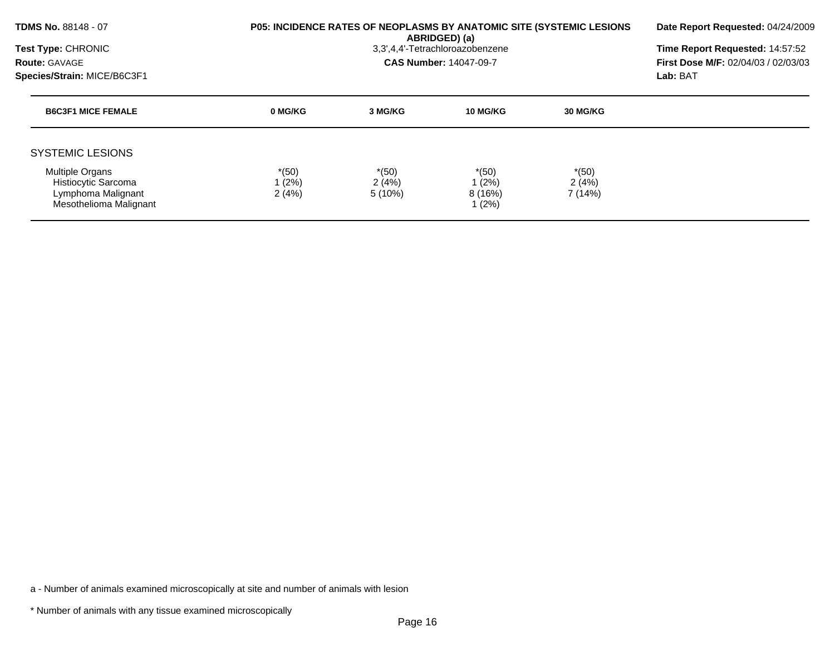| <b>TDMS No. 88148 - 07</b><br><b>Test Type: CHRONIC</b><br><b>Route: GAVAGE</b><br>Species/Strain: MICE/B6C3F1 |                           | P05: INCIDENCE RATES OF NEOPLASMS BY ANATOMIC SITE (SYSTEMIC LESIONS<br>ABRIDGED) (a)<br>3,3',4,4'-Tetrachloroazobenzene<br><b>CAS Number: 14047-09-7</b> |                                       |                             |  |  |
|----------------------------------------------------------------------------------------------------------------|---------------------------|-----------------------------------------------------------------------------------------------------------------------------------------------------------|---------------------------------------|-----------------------------|--|--|
| <b>B6C3F1 MICE FEMALE</b>                                                                                      | 0 MG/KG                   | 3 MG/KG                                                                                                                                                   | 10 MG/KG                              | <b>30 MG/KG</b>             |  |  |
| <b>SYSTEMIC LESIONS</b>                                                                                        |                           |                                                                                                                                                           |                                       |                             |  |  |
| <b>Multiple Organs</b><br>Histiocytic Sarcoma<br>Lymphoma Malignant<br>Mesothelioma Malignant                  | $*(50)$<br>1(2%)<br>2(4%) | $*(50)$<br>2(4%)<br>$5(10\%)$                                                                                                                             | $*(50)$<br>1 (2%)<br>8(16%)<br>1 (2%) | $*(50)$<br>2(4%)<br>7 (14%) |  |  |

\* Number of animals with any tissue examined microscopically